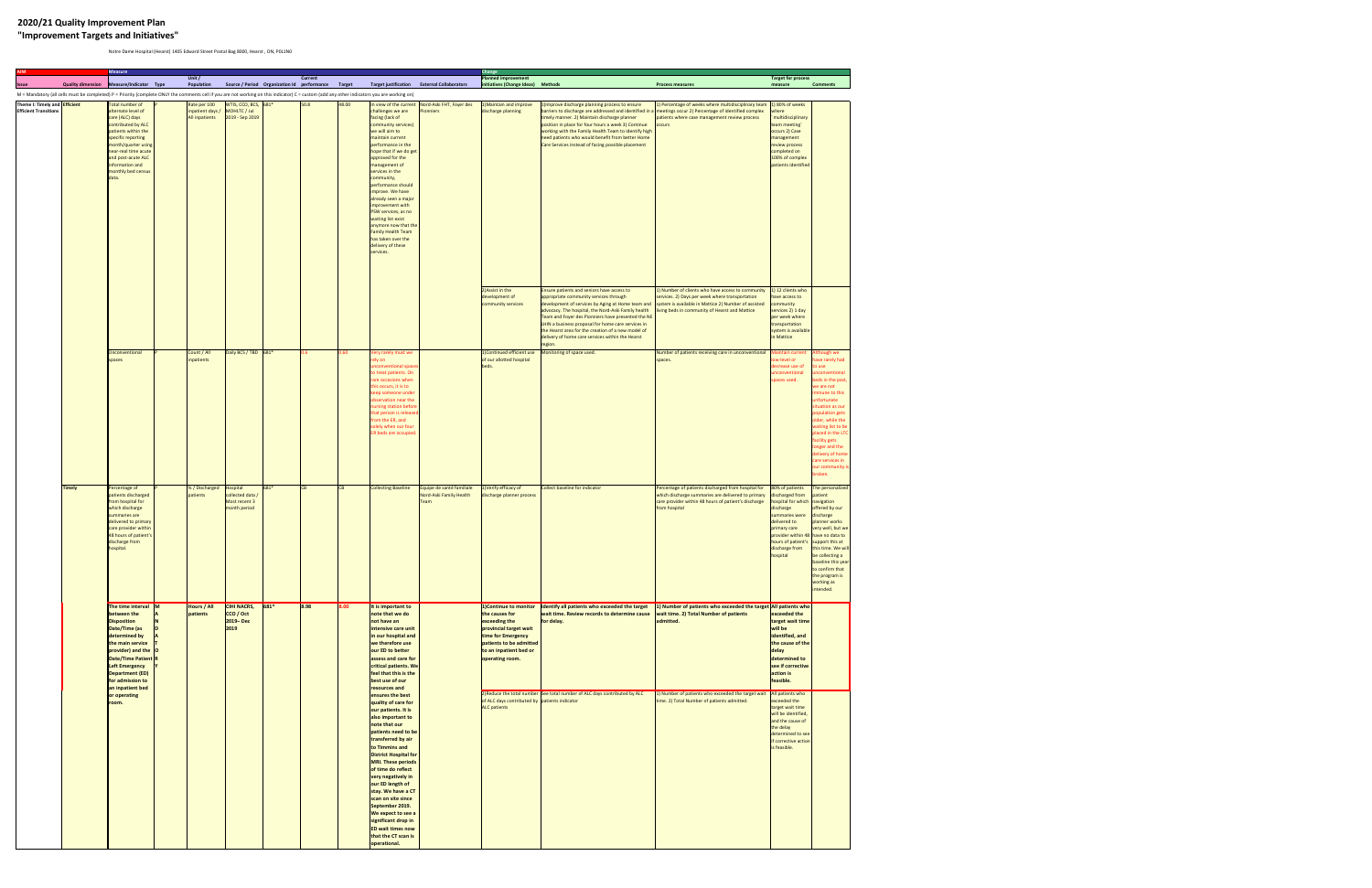## **2020/21 Quality Improvement Plan "Improvement Targets and Initiatives"**

Notre Dame Hospital (Hearst) 1405 Edward Street Postal Bag 8000, Hearst , ON, P0L1N0

| <b>AIM</b>                                                           |               | <b>Measure</b>                                                                                                                                                                                                                                                                   |                                                    |                                                                |         |                  |               |                                                                                                                                                                                                                                                                                                                                                                                                                                                                                                                                                                                                                                                                                                                                            |                                                             | <b>Change</b>                                                                                                                                           |                                                                                                                                                                                                                                                                                                                                                                                                                                        |                                                                                                                                                                                                                |                                                                                                                                                                                                                   |                                                                                                                                                                                                                                                                                                                                                       |
|----------------------------------------------------------------------|---------------|----------------------------------------------------------------------------------------------------------------------------------------------------------------------------------------------------------------------------------------------------------------------------------|----------------------------------------------------|----------------------------------------------------------------|---------|------------------|---------------|--------------------------------------------------------------------------------------------------------------------------------------------------------------------------------------------------------------------------------------------------------------------------------------------------------------------------------------------------------------------------------------------------------------------------------------------------------------------------------------------------------------------------------------------------------------------------------------------------------------------------------------------------------------------------------------------------------------------------------------------|-------------------------------------------------------------|---------------------------------------------------------------------------------------------------------------------------------------------------------|----------------------------------------------------------------------------------------------------------------------------------------------------------------------------------------------------------------------------------------------------------------------------------------------------------------------------------------------------------------------------------------------------------------------------------------|----------------------------------------------------------------------------------------------------------------------------------------------------------------------------------------------------------------|-------------------------------------------------------------------------------------------------------------------------------------------------------------------------------------------------------------------|-------------------------------------------------------------------------------------------------------------------------------------------------------------------------------------------------------------------------------------------------------------------------------------------------------------------------------------------------------|
| <b>Issue</b>                                                         |               | Quality dimension Measure/Indicator Type                                                                                                                                                                                                                                         | Unit $/$<br>Population                             | Source / Period Organization Id performance                    |         | <b>Current</b>   | <b>Target</b> |                                                                                                                                                                                                                                                                                                                                                                                                                                                                                                                                                                                                                                                                                                                                            | Target justification External Collaborators                 | <b>Planned improvement</b><br>initiatives (Change Ideas) Methods                                                                                        |                                                                                                                                                                                                                                                                                                                                                                                                                                        | <b>Process measures</b>                                                                                                                                                                                        | <b>Target for process</b><br>measure                                                                                                                                                                              | <b>Comments</b>                                                                                                                                                                                                                                                                                                                                       |
|                                                                      |               |                                                                                                                                                                                                                                                                                  |                                                    |                                                                |         |                  |               | M = Mandatory (all cells must be completed) P = Priority (complete ONLY the comments cell if you are not working on this indicator) C = custom (add any other indicators you are working on)                                                                                                                                                                                                                                                                                                                                                                                                                                                                                                                                               |                                                             |                                                                                                                                                         |                                                                                                                                                                                                                                                                                                                                                                                                                                        |                                                                                                                                                                                                                |                                                                                                                                                                                                                   |                                                                                                                                                                                                                                                                                                                                                       |
| Theme I: Timely and <b>Efficient</b><br><b>Efficient Transitions</b> |               | Total number of<br>alternate level of<br>care (ALC) days<br>contributed by ALC<br>patients within the<br>specific reporting<br>month/quarter using<br>near-real time acute<br>and post-acute ALC<br>information and<br>monthly bed census<br>data.                               | Rate per 100<br>inpatient days /<br>All inpatients | WTIS, CCO, BCS, $681*$<br>MOHLTC / Jul<br>2019 - Sep 2019      |         | 50.8             | 48.00         | In view of the current<br>challenges we are<br>facing (lack of<br>community services)<br>we will aim to<br>maintain current<br>performance in the<br>hope that if we do get<br>approved for the<br>management of<br>services in the<br>community,<br>performance should<br>improve. We have<br>already seen a major<br>improvement with<br>PSW services, as no<br>waiting list exist<br>anymore now that the<br>Family Health Team<br>has taken over the<br>delivery of these<br>services.                                                                                                                                                                                                                                                 | Nord-Aski FHT, Foyer des<br><b>Pionniers</b>                | 1) Maintain and improve<br>discharge planning                                                                                                           | 1) Improve discharge planning process to ensure<br>barriers to discharge are addressed and identified in a meetings occur 2) Percentage of identified complex<br>timely manner. 2) Maintain discharge planner<br>position in place for four hours a week 3) Continue<br>working with the Family Health Team to identify high<br>need patients who would benefit from better Home<br>Care Services instead of facing possible placement | 1) Percentage of weeks where multidisciplinary team<br>patients where case management review process<br>occurs                                                                                                 | 1) 80% of weeks<br>where<br>"multidisciplinary<br>team meeting"<br>occurs 2) Case<br>management<br>review process<br>completed on<br>100% of complex<br>patients identified                                       |                                                                                                                                                                                                                                                                                                                                                       |
|                                                                      |               |                                                                                                                                                                                                                                                                                  |                                                    |                                                                |         |                  |               |                                                                                                                                                                                                                                                                                                                                                                                                                                                                                                                                                                                                                                                                                                                                            |                                                             | 2) Assist in the<br>development of<br>community services                                                                                                | Ensure patients and seniors have access to<br>appropriate community services through<br>development of services by Aging at Home team and<br>advocacy. The hospital, the Nord-Aski Family health<br>Team and Foyer des Pionniers have presented the NE<br>LHIN a business proposal for home care services in<br>the Hearst area for the creation of a new model of<br>delivery of home care services within the Hearst<br>region.      | 1) Number of clients who have access to community<br>services. 2) Days per week where transportation<br>system is available in Mattice 2) Number of assisted<br>living beds in community of Hearst and Mattice | 1) 12 clients who<br>have access to<br>community<br>services 2) 1 day<br>per week where<br>transportation<br>system is available<br>in Mattice                                                                    |                                                                                                                                                                                                                                                                                                                                                       |
|                                                                      |               | Unconventional<br>spaces                                                                                                                                                                                                                                                         | Count / All<br>inpatients                          | Daily BCS / TBD 681*                                           |         | 0.6 <sub>1</sub> | 0.60          | Very rarely must we<br>rely on<br>unconventional space<br>to treat patients. On<br>rare occasions when<br>this occurs, it is to<br>keep someone under<br>observation near the<br>nursing station before<br>that person is release<br>from the ER, and<br>solely when our four<br>ER beds are occupied.                                                                                                                                                                                                                                                                                                                                                                                                                                     |                                                             | 1) Continued efficient use Monitoring of space used.<br>of our allotted hospital<br>beds.                                                               |                                                                                                                                                                                                                                                                                                                                                                                                                                        | Number of patients receiving care in unconventional<br>spaces.                                                                                                                                                 | <b>Maintain current</b><br>low-level or<br>decrease use of<br>unconventional<br>spaces used.                                                                                                                      | <b>Ithough we</b><br>ave rarely had<br>o use<br><b>nconventional</b><br>eds in the past,<br>we are not<br>mmune to this<br>unfortunate<br>situation as our<br>population gets<br>older, while the<br>waiting list to be<br>placed in the LTC<br>facility gets<br>onger and the<br>delivery of home<br>care services in<br>our community is<br>broken. |
|                                                                      | <b>Timely</b> | Percentage of<br>patients discharged<br>from hospital for<br>which discharge<br>summaries are<br>delivered to primary<br>care provider within<br>48 hours of patient's<br>discharge from<br>hospital.                                                                            | % / Discharged<br>patients                         | Hospital<br>collected data /<br>Most recent 3<br>month period  | 681*    | <b>CB</b>        |               | <b>Collecting Baseline</b>                                                                                                                                                                                                                                                                                                                                                                                                                                                                                                                                                                                                                                                                                                                 | Equipe de santé familiale<br>Nord-Aski Family Health<br>eam | 1) Verify efficacy of<br>discharge planner process                                                                                                      | Collect baseline for indicator                                                                                                                                                                                                                                                                                                                                                                                                         | Percentage of patients discharged from hospital for<br>which discharge summaries are delivered to primary<br>care provider within 48 hours of patient's discharge<br>from hospital                             | 80% of patients<br>discharged from<br>hospital for which<br>discharge<br>summaries were<br>delivered to<br>primary care<br>provider within 48 have no data to<br>hours of patient's<br>discharge from<br>hospital | The personalized<br>patient<br>navigation<br>offered by our<br>discharge<br>planner works<br>very well, but we<br>support this at<br>this time. We will<br>be collecting a<br>baseline this year<br>to confirm that<br>the program is<br>working as<br>intended.                                                                                      |
|                                                                      |               | The time interval M<br>between the<br><b>Disposition</b><br>Date/Time (as<br>determined by<br>the main service<br>provider) and the O<br>Date/Time Patient R<br><b>Left Emergency</b><br><b>Department (ED)</b><br>for admission to<br>an inpatient bed<br>or operating<br>room. | Hours / All<br>patients                            | <b>CIHI NACRS,</b><br>CCO / Oct<br>2019 <del>Dec</del><br>2019 | $ 681*$ | 8.98             | 8.00          | It is important to<br>note that we do<br>not have an<br>intensive care unit<br>in our hospital and<br>we therefore use<br>our ED to better<br>assess and care for<br>critical patients. We<br>feel that this is the<br>best use of our<br>resources and<br>ensures the best<br>quality of care for<br>our patients. It is<br>also important to<br>note that our<br>patients need to be<br>transferred by air<br>to Timmins and<br><b>District Hospital for</b><br>MRI. These periods<br>of time do reflect<br>very negatively in<br>our ED length of<br>stay. We have a CT<br>scan on site since<br>September 2019.<br><b>We expect to see a</b><br>significant drop in<br><b>ED wait times now</b><br>that the CT scan is<br>operational. |                                                             | the causes for<br>exceeding the<br>provincial target wait<br>time for Emergency<br>patients to be admitted<br>to an inpatient bed or<br>operating room. | 1) Continue to monitor   Identify all patients who exceeded the target<br>wait time. Review records to determine cause<br>for delay.                                                                                                                                                                                                                                                                                                   | 1) Number of patients who exceeded the target All patients who<br>wait time. 2) Total Number of patients<br>admitted.                                                                                          | exceeded the<br>target wait time<br>will be<br>identified, and<br>the cause of the<br>delay<br>determined to<br>see if corrective<br>action is<br>feasible.                                                       |                                                                                                                                                                                                                                                                                                                                                       |
|                                                                      |               |                                                                                                                                                                                                                                                                                  |                                                    |                                                                |         |                  |               |                                                                                                                                                                                                                                                                                                                                                                                                                                                                                                                                                                                                                                                                                                                                            |                                                             | of ALC days contributed by patients indicator<br><b>ALC</b> patients                                                                                    | 2) Reduce the total number See total number of ALC days contributed by ALC                                                                                                                                                                                                                                                                                                                                                             | 1) Number of patients who exceeded the target wait<br>time. 2) Total Number of patients admitted.                                                                                                              | All patients who<br>exceeded the<br>target wait time<br>will be identified,<br>and the cause of<br>the delay<br>determined to see<br>if corrective action<br>is feasible.                                         |                                                                                                                                                                                                                                                                                                                                                       |